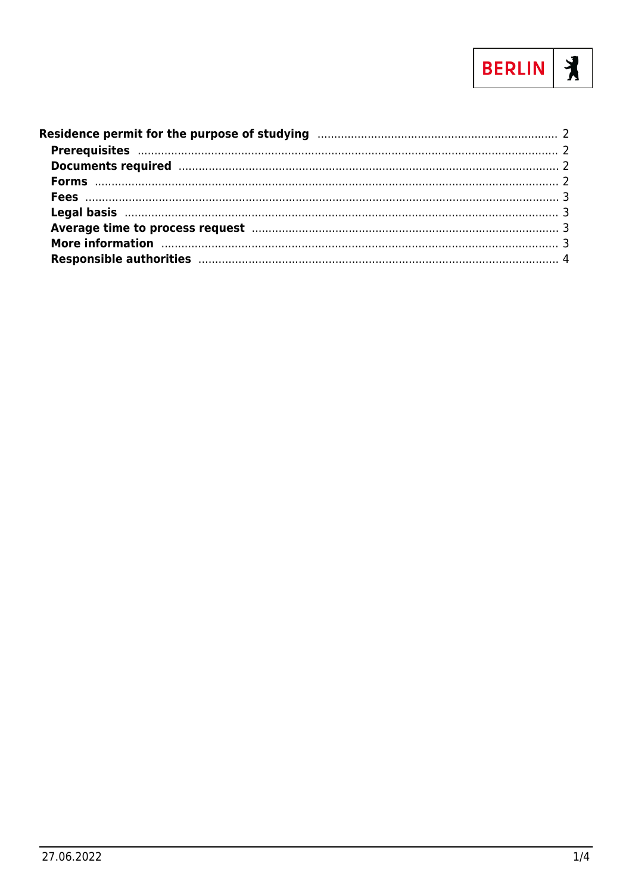

| More information manufactured and the contract of the contract of the contract of the contract of the contract of the contract of the contract of the contract of the contract of the contract of the contract of the contract |  |
|--------------------------------------------------------------------------------------------------------------------------------------------------------------------------------------------------------------------------------|--|
|                                                                                                                                                                                                                                |  |
|                                                                                                                                                                                                                                |  |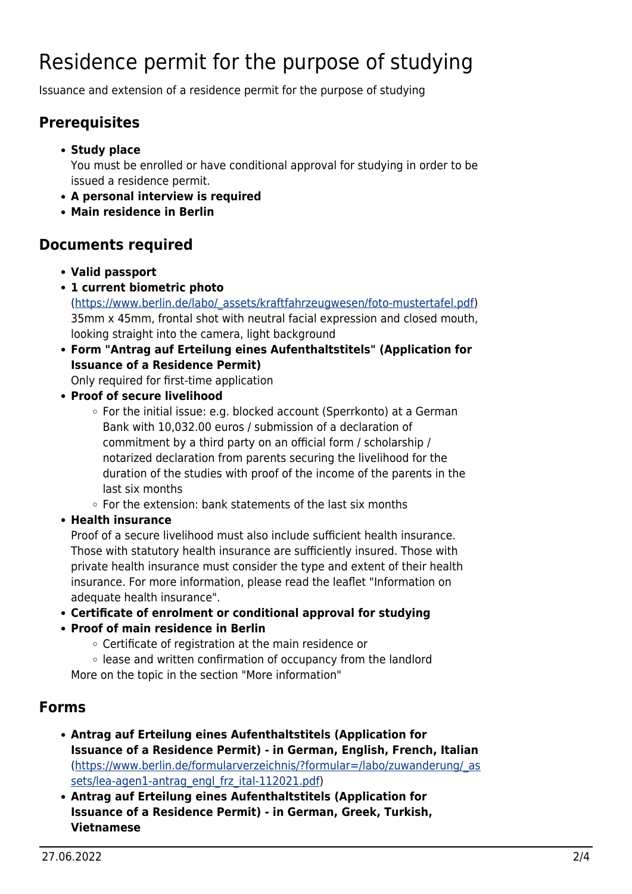# <span id="page-1-0"></span>Residence permit for the purpose of studying

Issuance and extension of a residence permit for the purpose of studying

#### <span id="page-1-1"></span>**Prerequisites**

- **Study place** You must be enrolled or have conditional approval for studying in order to be issued a residence permit.
- **A personal interview is required**
- **Main residence in Berlin**

#### <span id="page-1-2"></span>**Documents required**

- **Valid passport**
- **1 current biometric photo**

([https://www.berlin.de/labo/\\_assets/kraftfahrzeugwesen/foto-mustertafel.pdf\)](https://www.berlin.de/labo/_assets/kraftfahrzeugwesen/foto-mustertafel.pdf) 35mm x 45mm, frontal shot with neutral facial expression and closed mouth, looking straight into the camera, light background

- **Form "Antrag auf Erteilung eines Aufenthaltstitels" (Application for Issuance of a Residence Permit)** Only required for first-time application
- **Proof of secure livelihood**
	- For the initial issue: e.g. blocked account (Sperrkonto) at a German Bank with 10,032.00 euros / submission of a declaration of commitment by a third party on an official form / scholarship / notarized declaration from parents securing the livelihood for the duration of the studies with proof of the income of the parents in the last six months
	- $\circ$  For the extension: bank statements of the last six months
- **Health insurance**

Proof of a secure livelihood must also include sufficient health insurance. Those with statutory health insurance are sufficiently insured. Those with private health insurance must consider the type and extent of their health insurance. For more information, please read the leaflet "Information on adequate health insurance".

- **Certificate of enrolment or conditional approval for studying**
- **Proof of main residence in Berlin**
	- Certificate of registration at the main residence or
	- lease and written confirmation of occupancy from the landlord More on the topic in the section "More information"

#### <span id="page-1-3"></span>**Forms**

- **Antrag auf Erteilung eines Aufenthaltstitels (Application for Issuance of a Residence Permit) - in German, English, French, Italian** ([https://www.berlin.de/formularverzeichnis/?formular=/labo/zuwanderung/\\_as](https://www.berlin.de/formularverzeichnis/?formular=/labo/zuwanderung/_assets/lea-agen1-antrag_engl_frz_ital-112021.pdf) [sets/lea-agen1-antrag\\_engl\\_frz\\_ital-112021.pdf](https://www.berlin.de/formularverzeichnis/?formular=/labo/zuwanderung/_assets/lea-agen1-antrag_engl_frz_ital-112021.pdf))
- **Antrag auf Erteilung eines Aufenthaltstitels (Application for Issuance of a Residence Permit) - in German, Greek, Turkish, Vietnamese**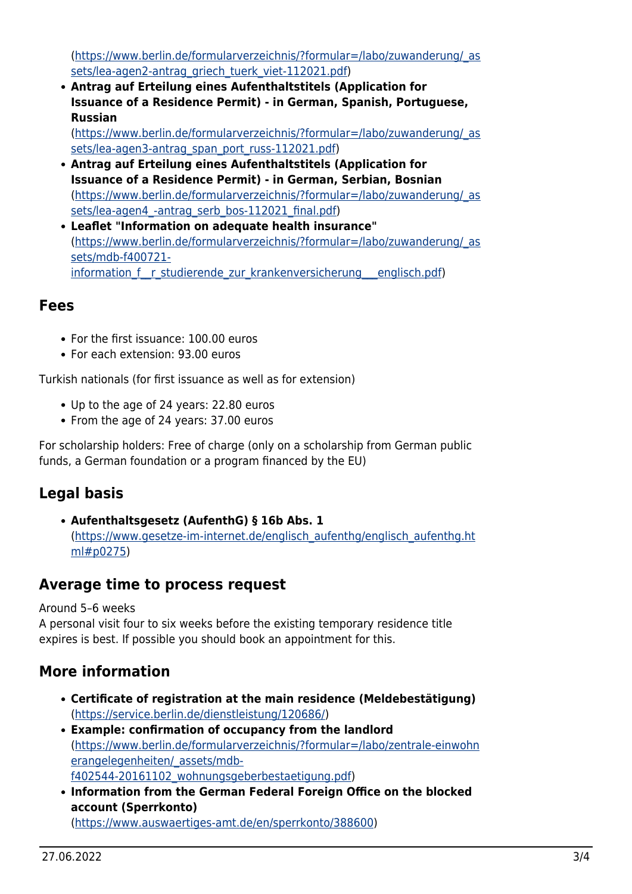([https://www.berlin.de/formularverzeichnis/?formular=/labo/zuwanderung/\\_as](https://www.berlin.de/formularverzeichnis/?formular=/labo/zuwanderung/_assets/lea-agen2-antrag_griech_tuerk_viet-112021.pdf) [sets/lea-agen2-antrag\\_griech\\_tuerk\\_viet-112021.pdf](https://www.berlin.de/formularverzeichnis/?formular=/labo/zuwanderung/_assets/lea-agen2-antrag_griech_tuerk_viet-112021.pdf))

**Antrag auf Erteilung eines Aufenthaltstitels (Application for Issuance of a Residence Permit) - in German, Spanish, Portuguese, Russian**

([https://www.berlin.de/formularverzeichnis/?formular=/labo/zuwanderung/\\_as](https://www.berlin.de/formularverzeichnis/?formular=/labo/zuwanderung/_assets/lea-agen3-antrag_span_port_russ-112021.pdf) [sets/lea-agen3-antrag\\_span\\_port\\_russ-112021.pdf](https://www.berlin.de/formularverzeichnis/?formular=/labo/zuwanderung/_assets/lea-agen3-antrag_span_port_russ-112021.pdf))

- **Antrag auf Erteilung eines Aufenthaltstitels (Application for Issuance of a Residence Permit) - in German, Serbian, Bosnian** ([https://www.berlin.de/formularverzeichnis/?formular=/labo/zuwanderung/\\_as](https://www.berlin.de/formularverzeichnis/?formular=/labo/zuwanderung/_assets/lea-agen4_-antrag_serb_bos-112021_final.pdf) sets/lea-agen4 -antrag\_serb\_bos-112021\_final.pdf)
- **Leaflet "Information on adequate health insurance"** ([https://www.berlin.de/formularverzeichnis/?formular=/labo/zuwanderung/\\_as](https://www.berlin.de/formularverzeichnis/?formular=/labo/zuwanderung/_assets/mdb-f400721-information_f__r_studierende_zur_krankenversicherung___englisch.pdf) [sets/mdb-f400721](https://www.berlin.de/formularverzeichnis/?formular=/labo/zuwanderung/_assets/mdb-f400721-information_f__r_studierende_zur_krankenversicherung___englisch.pdf) information f r studierende zur krankenversicherung englisch.pdf)

#### <span id="page-2-0"></span>**Fees**

- For the first issuance: 100.00 euros
- For each extension: 93.00 euros

Turkish nationals (for first issuance as well as for extension)

- Up to the age of 24 years: 22.80 euros
- From the age of 24 years: 37.00 euros

For scholarship holders: Free of charge (only on a scholarship from German public funds, a German foundation or a program financed by the EU)

## <span id="page-2-1"></span>**Legal basis**

**Aufenthaltsgesetz (AufenthG) § 16b Abs. 1** ([https://www.gesetze-im-internet.de/englisch\\_aufenthg/englisch\\_aufenthg.ht](https://www.gesetze-im-internet.de/englisch_aufenthg/englisch_aufenthg.html#p0275) [ml#p0275\)](https://www.gesetze-im-internet.de/englisch_aufenthg/englisch_aufenthg.html#p0275)

#### <span id="page-2-2"></span>**Average time to process request**

Around 5–6 weeks

A personal visit four to six weeks before the existing temporary residence title expires is best. If possible you should book an appointment for this.

## <span id="page-2-3"></span>**More information**

- **Certificate of registration at the main residence (Meldebestätigung)** (<https://service.berlin.de/dienstleistung/120686/>)
- **Example: confirmation of occupancy from the landlord** ([https://www.berlin.de/formularverzeichnis/?formular=/labo/zentrale-einwohn](https://www.berlin.de/formularverzeichnis/?formular=/labo/zentrale-einwohnerangelegenheiten/_assets/mdb-f402544-20161102_wohnungsgeberbestaetigung.pdf) [erangelegenheiten/\\_assets/mdb](https://www.berlin.de/formularverzeichnis/?formular=/labo/zentrale-einwohnerangelegenheiten/_assets/mdb-f402544-20161102_wohnungsgeberbestaetigung.pdf)[f402544-20161102\\_wohnungsgeberbestaetigung.pdf\)](https://www.berlin.de/formularverzeichnis/?formular=/labo/zentrale-einwohnerangelegenheiten/_assets/mdb-f402544-20161102_wohnungsgeberbestaetigung.pdf)
- **Information from the German Federal Foreign Office on the blocked account (Sperrkonto)** (<https://www.auswaertiges-amt.de/en/sperrkonto/388600>)